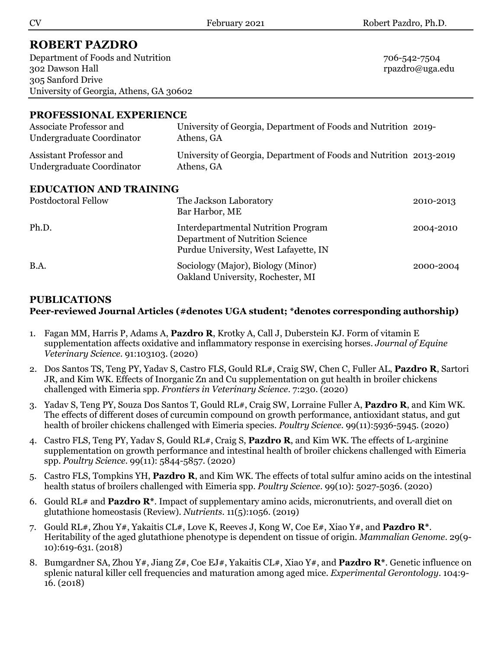# **ROBERT PAZDRO**

Department of Foods and Nutrition 706-542-7504 302 Dawson Hall rpazdro@uga.edu 305 Sanford Drive University of Georgia, Athens, GA 30602

# **PROFESSIONAL EXPERIENCE**

| Associate Professor and<br>Undergraduate Coordinator | University of Georgia, Department of Foods and Nutrition 2019-<br>Athens, GA     |  |  |
|------------------------------------------------------|----------------------------------------------------------------------------------|--|--|
| Assistant Professor and<br>Undergraduate Coordinator | University of Georgia, Department of Foods and Nutrition 2013-2019<br>Athens, GA |  |  |
| EDIICATION AND TDAINING                              |                                                                                  |  |  |

## **EDUCATION AND TRAINING**

| Postdoctoral Fellow | The Jackson Laboratory<br>Bar Harbor, ME                                                                               | 2010-2013 |
|---------------------|------------------------------------------------------------------------------------------------------------------------|-----------|
| Ph.D.               | <b>Interdepartmental Nutrition Program</b><br>Department of Nutrition Science<br>Purdue University, West Lafayette, IN | 2004-2010 |
| B.A.                | Sociology (Major), Biology (Minor)<br>Oakland University, Rochester, MI                                                | 2000-2004 |

## **PUBLICATIONS**

## **Peer-reviewed Journal Articles (#denotes UGA student; \*denotes corresponding authorship)**

- 1. Fagan MM, Harris P, Adams A, **Pazdro R**, Krotky A, Call J, Duberstein KJ. Form of vitamin E supplementation affects oxidative and inflammatory response in exercising horses. *Journal of Equine Veterinary Science*. 91:103103. (2020)
- 2. Dos Santos TS, Teng PY, Yadav S, Castro FLS, Gould RL#, Craig SW, Chen C, Fuller AL, **Pazdro R**, Sartori JR, and Kim WK. Effects of Inorganic Zn and Cu supplementation on gut health in broiler chickens challenged with Eimeria spp. *Frontiers in Veterinary Science*. 7:230. (2020)
- 3. Yadav S, Teng PY, Souza Dos Santos T, Gould RL#, Craig SW, Lorraine Fuller A, **Pazdro R**, and Kim WK. The effects of different doses of curcumin compound on growth performance, antioxidant status, and gut health of broiler chickens challenged with Eimeria species. *Poultry Science*. 99(11):5936-5945. (2020)
- 4. Castro FLS, Teng PY, Yadav S, Gould RL#, Craig S, **Pazdro R**, and Kim WK. The effects of L-arginine supplementation on growth performance and intestinal health of broiler chickens challenged with Eimeria spp. *Poultry Science*. 99(11): 5844-5857. (2020)
- 5. Castro FLS, Tompkins YH, **Pazdro R**, and Kim WK. The effects of total sulfur amino acids on the intestinal health status of broilers challenged with Eimeria spp. *Poultry Science*. 99(10): 5027-5036. (2020)
- 6. Gould RL# and **Pazdro R\***. Impact of supplementary amino acids, micronutrients, and overall diet on glutathione homeostasis (Review). *Nutrients*. 11(5):1056. (2019)
- 7. Gould RL#, Zhou Y#, Yakaitis CL#, Love K, Reeves J, Kong W, Coe E#, Xiao Y#, and **Pazdro R\***. Heritability of the aged glutathione phenotype is dependent on tissue of origin. *Mammalian Genome*. 29(9- 10):619-631. (2018)
- 8. Bumgardner SA, Zhou Y#, Jiang Z#, Coe EJ#, Yakaitis CL#, Xiao Y#, and **Pazdro R\***. Genetic influence on splenic natural killer cell frequencies and maturation among aged mice. *Experimental Gerontology*. 104:9- 16. (2018)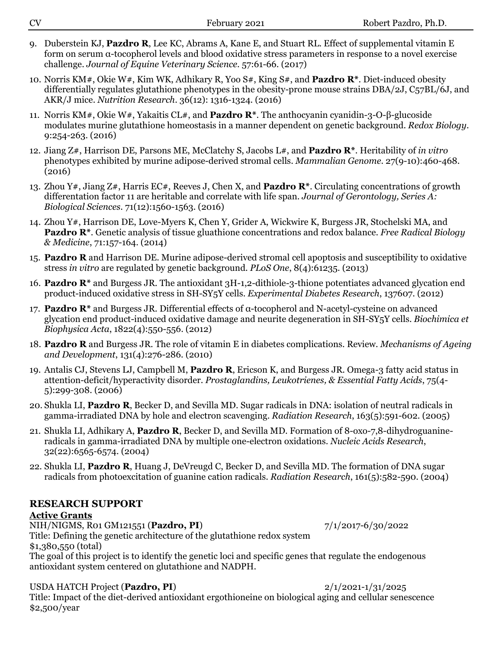| <b>CV</b>                                                                                                                                                              | February 2021                                                                                                                                                           | Robert Pazdro, Ph.D.                                                                                                  |
|------------------------------------------------------------------------------------------------------------------------------------------------------------------------|-------------------------------------------------------------------------------------------------------------------------------------------------------------------------|-----------------------------------------------------------------------------------------------------------------------|
| 9.                                                                                                                                                                     | Duberstein KJ, Pazdro R, Lee KC, Abrams A, Kane E, and Stuart RL. Effect of supplemental vitamin E<br>challenge. Journal of Equine Veterinary Science. 57:61-66. (2017) | form on serum $\alpha$ -tocopherol levels and blood oxidative stress parameters in response to a novel exercise       |
| 10. Norris KM#, Okie W#, Kim WK, Adhikary R, Yoo S#, King S#, and <b>Pazdro R</b> *. Diet-induced obesity<br>AKR/J mice. Nutrition Research. 36(12): 1316-1324. (2016) |                                                                                                                                                                         | differentially regulates glutathione phenotypes in the obesity-prone mouse strains DBA/2J, C57BL/6J, and              |
| 11. Norris KM#, Okie W#, Yakaitis CL#, and <b>Pazdro R</b> *. The anthocyanin cyanidin-3-O- $\beta$ -glucoside<br>$9:254-263.$ (2016)                                  |                                                                                                                                                                         | modulates murine glutathione homeostasis in a manner dependent on genetic background. Redox Biology.                  |
| 12. Jiang $Z#$ , Harrison DE, Parsons ME, McClatchy S, Jacobs L#, and <b>Pazdro R</b> *. Heritability of in vitro<br>(2016)                                            |                                                                                                                                                                         | phenotypes exhibited by murine adipose-derived stromal cells. Mammalian Genome. 27(9-10):460-468.                     |
| Biological Sciences. 71(12):1560-1563. (2016)                                                                                                                          | differentation factor 11 are heritable and correlate with life span. Journal of Gerontology, Series A:                                                                  | 13. Zhou Y#, Jiang Z#, Harris EC#, Reeves J, Chen X, and <b>Pazdro R</b> *. Circulating concentrations of growth      |
| 14. Zhou Y#, Harrison DE, Love-Myers K, Chen Y, Grider A, Wickwire K, Burgess JR, Stochelski MA, and<br>& Medicine, 71:157-164. (2014)                                 |                                                                                                                                                                         | <b>Pazdro R*.</b> Genetic analysis of tissue gluathione concentrations and redox balance. Free Radical Biology        |
|                                                                                                                                                                        | stress in vitro are regulated by genetic background. PLoS One, 8(4):61235. (2013)                                                                                       | 15. Pazdro R and Harrison DE. Murine adipose-derived stromal cell apoptosis and susceptibility to oxidative           |
|                                                                                                                                                                        | product-induced oxidative stress in SH-SY <sub>5</sub> Y cells. Experimental Diabetes Research, 137607. (2012)                                                          | 16. Pazdro $\mathbb{R}^*$ and Burgess JR. The antioxidant 3H-1,2-dithiole-3-thione potentiates advanced glycation end |
| 17. Pazdro $\mathbb{R}^*$ and Burgess JR. Differential effects of $\alpha$ -tocopherol and N-acetyl-cysteine on advanced<br>Biophysica Acta, 1822(4):550-556. (2012)   |                                                                                                                                                                         | glycation end product-induced oxidative damage and neurite degeneration in SH-SY <sub>5</sub> Y cells. Biochimica et  |
| and Development, 131(4):276-286. (2010)                                                                                                                                |                                                                                                                                                                         | 18. Pazdro R and Burgess JR. The role of vitamin E in diabetes complications. Review. Mechanisms of Ageing            |
| 5):299-308. (2006)                                                                                                                                                     | attention-deficit/hyperactivity disorder. Prostaglandins, Leukotrienes, & Essential Fatty Acids, 75(4-                                                                  | 19. Antalis CJ, Stevens LJ, Campbell M, Pazdro R, Ericson K, and Burgess JR. Omega-3 fatty acid status in             |

- 20. Shukla LI, **Pazdro R**, Becker D, and Sevilla MD. Sugar radicals in DNA: isolation of neutral radicals in gamma-irradiated DNA by hole and electron scavenging. *Radiation Research*, 163(5):591-602. (2005)
- 21. Shukla LI, Adhikary A, **Pazdro R**, Becker D, and Sevilla MD. Formation of 8-oxo-7,8-dihydroguanineradicals in gamma-irradiated DNA by multiple one-electron oxidations. *Nucleic Acids Research*, 32(22):6565-6574. (2004)
- 22. Shukla LI, **Pazdro R**, Huang J, DeVreugd C, Becker D, and Sevilla MD. The formation of DNA sugar radicals from photoexcitation of guanine cation radicals. *Radiation Research*, 161(5):582-590. (2004)

## **RESEARCH SUPPORT**

## **Active Grants**

Title: Defining the genetic architecture of the glutathione redox system \$1,380,550 (total) The goal of this project is to identify the genetic loci and specific genes that regulate the endogenous antioxidant system centered on glutathione and NADPH.

#### USDA HATCH Project (**Pazdro, PI**) 2/1/2021-1/31/2025

Title: Impact of the diet-derived antioxidant ergothioneine on biological aging and cellular senescence \$2,500/year

NIH/NIGMS, R01 GM121551 **(Pazdro, PI)** 7/1/2017-6/30/2022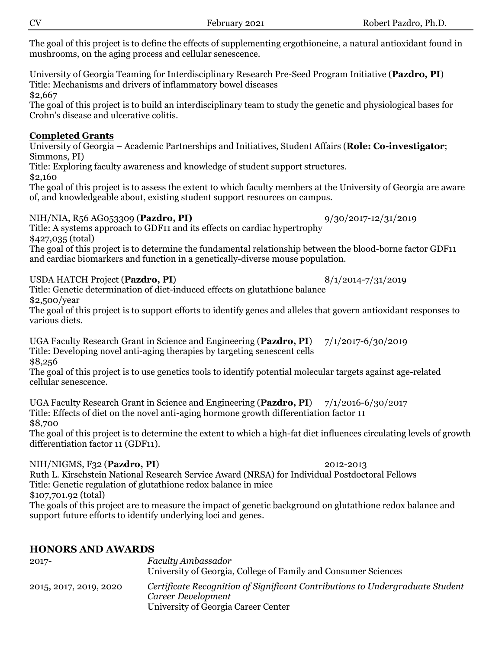The goal of this project is to define the effects of supplementing ergothioneine, a natural antioxidant found in mushrooms, on the aging process and cellular senescence.

University of Georgia Teaming for Interdisciplinary Research Pre-Seed Program Initiative (**Pazdro, PI**) Title: Mechanisms and drivers of inflammatory bowel diseases \$2,667

The goal of this project is to build an interdisciplinary team to study the genetic and physiological bases for Crohn's disease and ulcerative colitis.

#### **Completed Grants**

#### University of Georgia – Academic Partnerships and Initiatives, Student Affairs (**Role: Co-investigator**; Simmons, PI)

Title: Exploring faculty awareness and knowledge of student support structures. \$2,160

The goal of this project is to assess the extent to which faculty members at the University of Georgia are aware of, and knowledgeable about, existing student support resources on campus.

#### NIH/NIA, R56 AG053309 (**Pazdro, PI)** 9/30/2017-12/31/2019

Title: A systems approach to GDF11 and its effects on cardiac hypertrophy \$427,035 (total)

The goal of this project is to determine the fundamental relationship between the blood-borne factor GDF11 and cardiac biomarkers and function in a genetically-diverse mouse population.

#### USDA HATCH Project (**Pazdro, PI**) 8/1/2014-7/31/2019

Title: Genetic determination of diet-induced effects on glutathione balance \$2,500/year

The goal of this project is to support efforts to identify genes and alleles that govern antioxidant responses to various diets.

UGA Faculty Research Grant in Science and Engineering (**Pazdro, PI**) 7/1/2017-6/30/2019 Title: Developing novel anti-aging therapies by targeting senescent cells \$8,256

The goal of this project is to use genetics tools to identify potential molecular targets against age-related cellular senescence.

UGA Faculty Research Grant in Science and Engineering (**Pazdro, PI**) 7/1/2016-6/30/2017 Title: Effects of diet on the novel anti-aging hormone growth differentiation factor 11 \$8,700

The goal of this project is to determine the extent to which a high-fat diet influences circulating levels of growth differentiation factor 11 (GDF11).

## NIH/NIGMS, F32 (**Pazdro, PI**) 2012-2013

Ruth L. Kirschstein National Research Service Award (NRSA) for Individual Postdoctoral Fellows Title: Genetic regulation of glutathione redox balance in mice \$107,701.92 (total)

The goals of this project are to measure the impact of genetic background on glutathione redox balance and support future efforts to identify underlying loci and genes.

## **HONORS AND AWARDS**

| $2017 -$               | Faculty Ambassador<br>University of Georgia, College of Family and Consumer Sciences                |
|------------------------|-----------------------------------------------------------------------------------------------------|
|                        |                                                                                                     |
| 2015, 2017, 2019, 2020 | Certificate Recognition of Significant Contributions to Undergraduate Student<br>Career Development |
|                        | University of Georgia Career Center                                                                 |